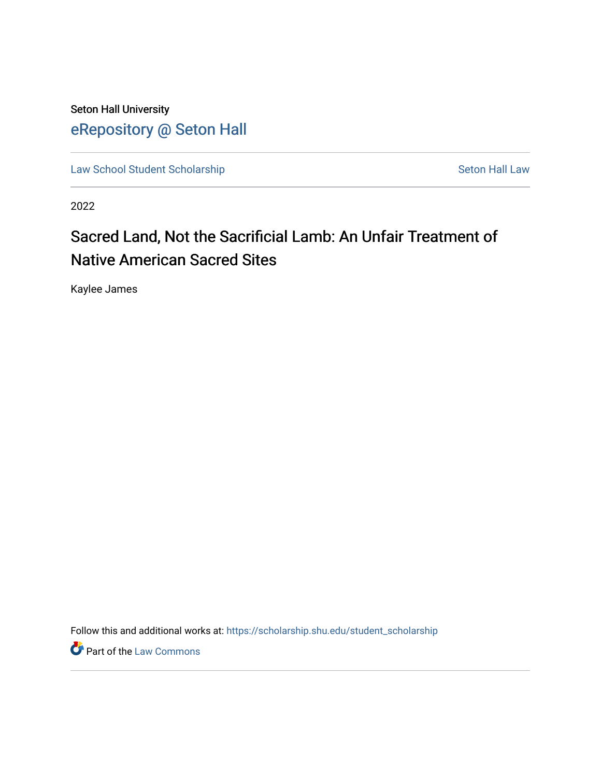Seton Hall University [eRepository @ Seton Hall](https://scholarship.shu.edu/)

[Law School Student Scholarship](https://scholarship.shu.edu/student_scholarship) Seton Hall Law

2022

# Sacred Land, Not the Sacrificial Lamb: An Unfair Treatment of Native American Sacred Sites

Kaylee James

Follow this and additional works at: [https://scholarship.shu.edu/student\\_scholarship](https://scholarship.shu.edu/student_scholarship?utm_source=scholarship.shu.edu%2Fstudent_scholarship%2F1275&utm_medium=PDF&utm_campaign=PDFCoverPages) 

**Part of the [Law Commons](http://network.bepress.com/hgg/discipline/578?utm_source=scholarship.shu.edu%2Fstudent_scholarship%2F1275&utm_medium=PDF&utm_campaign=PDFCoverPages)**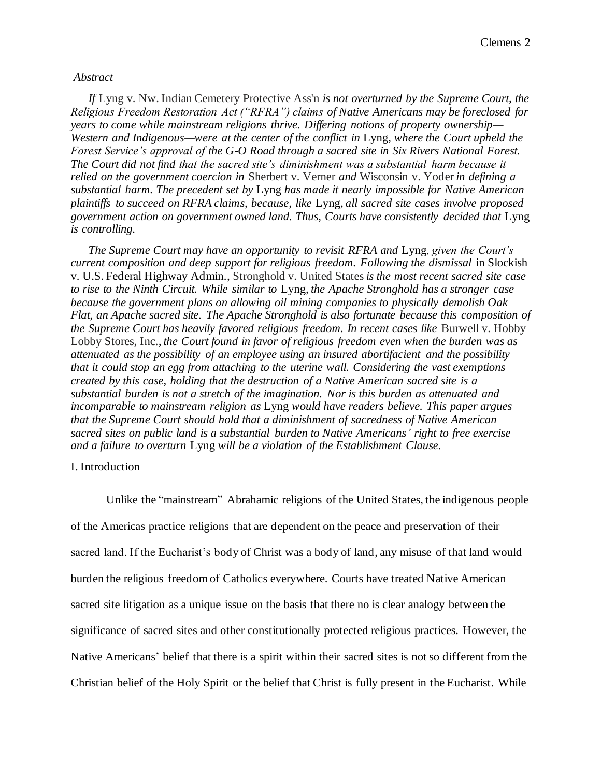#### *Abstract*

*If* Lyng v. Nw. Indian Cemetery Protective Ass'n *is not overturned by the Supreme Court, the Religious Freedom Restoration Act ("RFRA") claims of Native Americans may be foreclosed for years to come while mainstream religions thrive. Differing notions of property ownership— Western and Indigenous—were at the center of the conflict in* Lyng*, where the Court upheld the Forest Service's approval of the G-O Road through a sacred site in Six Rivers National Forest. The Court did not find that the sacred site's diminishment was a substantial harm because it relied on the government coercion in* Sherbert v. Verner *and* Wisconsin v. Yoder *in defining a substantial harm. The precedent set by* Lyng *has made it nearly impossible for Native American plaintiffs to succeed on RFRA claims, because, like* Lyng*, all sacred site cases involve proposed government action on government owned land. Thus, Courts have consistently decided that* Lyng *is controlling.*

*The Supreme Court may have an opportunity to revisit RFRA and* Lyng*, given the Court's current composition and deep support for religious freedom. Following the dismissal* in Slockish v. U.S. Federal Highway Admin.*,* Stronghold v. United States*is the most recent sacred site case to rise to the Ninth Circuit. While similar to* Lyng*, the Apache Stronghold has a stronger case because the government plans on allowing oil mining companies to physically demolish Oak Flat, an Apache sacred site. The Apache Stronghold is also fortunate because this composition of the Supreme Court has heavily favored religious freedom. In recent cases like* Burwell v. Hobby Lobby Stores, Inc.*, the Court found in favor of religious freedom even when the burden was as attenuated as the possibility of an employee using an insured abortifacient and the possibility that it could stop an egg from attaching to the uterine wall. Considering the vast exemptions created by this case, holding that the destruction of a Native American sacred site is a substantial burden is not a stretch of the imagination. Nor is this burden as attenuated and incomparable to mainstream religion as* Lyng *would have readers believe. This paper argues that the Supreme Court should hold that a diminishment of sacredness of Native American sacred sites on public land is a substantial burden to Native Americans' right to free exercise and a failure to overturn* Lyng *will be a violation of the Establishment Clause.*

#### I. Introduction

Unlike the "mainstream" Abrahamic religions of the United States, the indigenous people of the Americas practice religions that are dependent on the peace and preservation of their sacred land. If the Eucharist's body of Christ was a body of land, any misuse of that land would burden the religious freedom of Catholics everywhere. Courts have treated Native American sacred site litigation as a unique issue on the basis that there no is clear analogy between the significance of sacred sites and other constitutionally protected religious practices. However, the Native Americans' belief that there is a spirit within their sacred sites is not so different from the Christian belief of the Holy Spirit or the belief that Christ is fully present in the Eucharist. While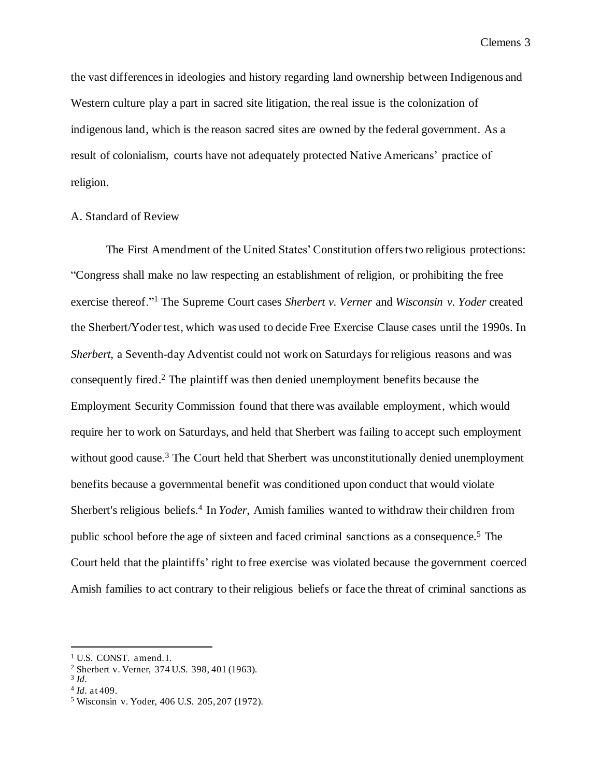the vast differences in ideologies and history regarding land ownership between Indigenous and Western culture play a part in sacred site litigation, the real issue is the colonization of indigenous land, which is the reason sacred sites are owned by the federal government. As a result of colonialism, courts have not adequately protected Native Americans' practice of religion.

# A. Standard of Review

The First Amendment of the United States' Constitution offers two religious protections: "Congress shall make no law respecting an establishment of religion, or prohibiting the free exercise thereof."<sup>1</sup> The Supreme Court cases *Sherbert v. Verner* and *Wisconsin v. Yoder* created the Sherbert/Yoder test, which was used to decide Free Exercise Clause cases until the 1990s. In *Sherbert*, a Seventh-day Adventist could not work on Saturdays for religious reasons and was consequently fired. <sup>2</sup> The plaintiff was then denied unemployment benefits because the Employment Security Commission found that there was available employment, which would require her to work on Saturdays, and held that Sherbert was failing to accept such employment without good cause.<sup>3</sup> The Court held that Sherbert was unconstitutionally denied unemployment benefits because a governmental benefit was conditioned upon conduct that would violate Sherbert's religious beliefs.<sup>4</sup> In *Yoder*, Amish families wanted to withdraw their children from public school before the age of sixteen and faced criminal sanctions as a consequence.<sup>5</sup> The Court held that the plaintiffs' right to free exercise was violated because the government coerced Amish families to act contrary to their religious beliefs or face the threat of criminal sanctions as

<sup>&</sup>lt;sup>1</sup> U.S. CONST. amend. I.

<sup>2</sup> Sherbert v. Verner, 374 U.S. 398, 401 (1963).

<sup>3</sup> *Id.*

<sup>4</sup> *Id.* at 409.

<sup>5</sup> Wisconsin v. Yoder, 406 U.S. 205, 207 (1972).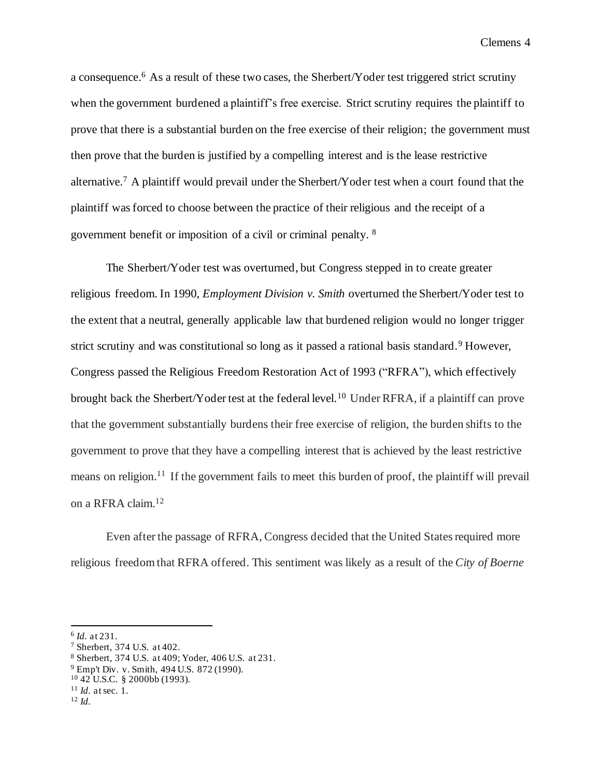a consequence.<sup>6</sup> As a result of these two cases, the Sherbert/Yoder test triggered strict scrutiny when the government burdened a plaintiff's free exercise. Strict scrutiny requires the plaintiff to prove that there is a substantial burden on the free exercise of their religion; the government must then prove that the burden is justified by a compelling interest and is the lease restrictive alternative.<sup>7</sup> A plaintiff would prevail under the Sherbert/Yoder test when a court found that the plaintiff was forced to choose between the practice of their religious and the receipt of a government benefit or imposition of a civil or criminal penalty. <sup>8</sup>

The Sherbert/Yoder test was overturned, but Congress stepped in to create greater religious freedom. In 1990, *Employment Division v. Smith* overturned the Sherbert/Yoder test to the extent that a neutral, generally applicable law that burdened religion would no longer trigger strict scrutiny and was constitutional so long as it passed a rational basis standard.<sup>9</sup> However, Congress passed the Religious Freedom Restoration Act of 1993 ("RFRA"), which effectively brought back the Sherbert/Yoder test at the federal level.<sup>10</sup> Under RFRA, if a plaintiff can prove that the government substantially burdens their free exercise of religion, the burden shifts to the government to prove that they have a compelling interest that is achieved by the least restrictive means on religion.<sup>11</sup> If the government fails to meet this burden of proof, the plaintiff will prevail on a RFRA claim.<sup>12</sup>

Even after the passage of RFRA, Congress decided that the United States required more religious freedom that RFRA offered. This sentiment was likely as a result of the *City of Boerne* 

<sup>6</sup> *Id.* at 231.

<sup>7</sup> Sherbert, 374 U.S. at 402.

<sup>8</sup> Sherbert, 374 U.S. at 409; Yoder, 406 U.S. at 231.

<sup>9</sup> Emp't Div. v. Smith, 494 U.S. 872 (1990).

 $10\,42$  U.S.C. § 2000bb (1993).

<sup>11</sup> *Id.* at sec. 1.

<sup>12</sup> *Id.*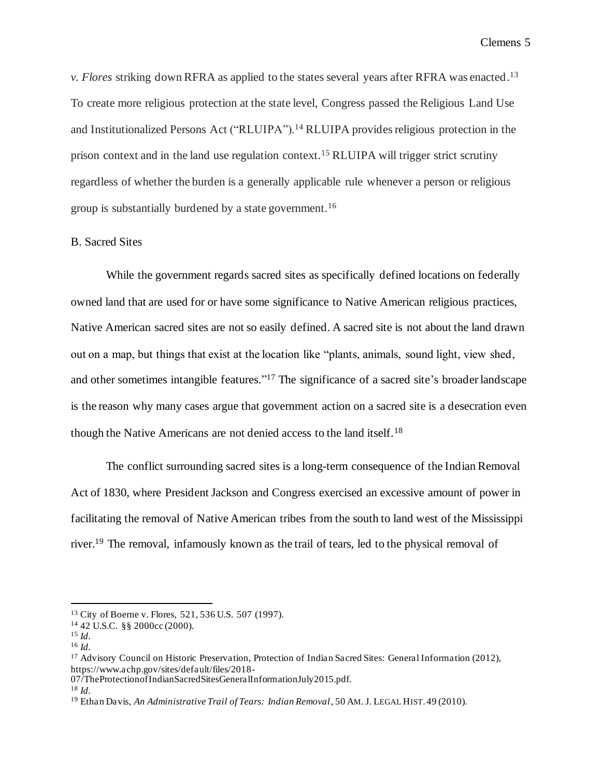*v. Flores* striking down RFRA as applied to the states several years after RFRA was enacted. 13 To create more religious protection at the state level, Congress passed the Religious Land Use and Institutionalized Persons Act ("RLUIPA").<sup>14</sup> RLUIPA provides religious protection in the prison context and in the land use regulation context.<sup>15</sup> RLUIPA will trigger strict scrutiny regardless of whether the burden is a generally applicable rule whenever a person or religious group is substantially burdened by a state government.<sup>16</sup>

### B. Sacred Sites

While the government regards sacred sites as specifically defined locations on federally owned land that are used for or have some significance to Native American religious practices, Native American sacred sites are not so easily defined. A sacred site is not about the land drawn out on a map, but things that exist at the location like "plants, animals, sound light, view shed, and other sometimes intangible features." <sup>17</sup> The significance of a sacred site's broader landscape is the reason why many cases argue that government action on a sacred site is a desecration even though the Native Americans are not denied access to the land itself.<sup>18</sup>

The conflict surrounding sacred sites is a long-term consequence of the Indian Removal Act of 1830, where President Jackson and Congress exercised an excessive amount of power in facilitating the removal of Native American tribes from the south to land west of the Mississippi river.<sup>19</sup> The removal, infamously known as the trail of tears, led to the physical removal of

<sup>13</sup> City of Boerne v. Flores, 521, 536 U.S. 507 (1997).

<sup>14</sup> 42 U.S.C. §§ 2000cc (2000).

<sup>15</sup> *Id.*

<sup>16</sup> *Id.*

<sup>17</sup> Advisory Council on Historic Preservation, Protection of Indian Sacred Sites: General Information (2012), https://www.achp.gov/sites/default/files/2018-

<sup>07/</sup>TheProtectionofIndianSacredSitesGeneralInformationJuly2015.pdf.

<sup>18</sup> *Id.*

<sup>19</sup> Ethan Davis, *An Administrative Trail of Tears: Indian Removal*, 50 AM. J. LEGAL HIST. 49 (2010).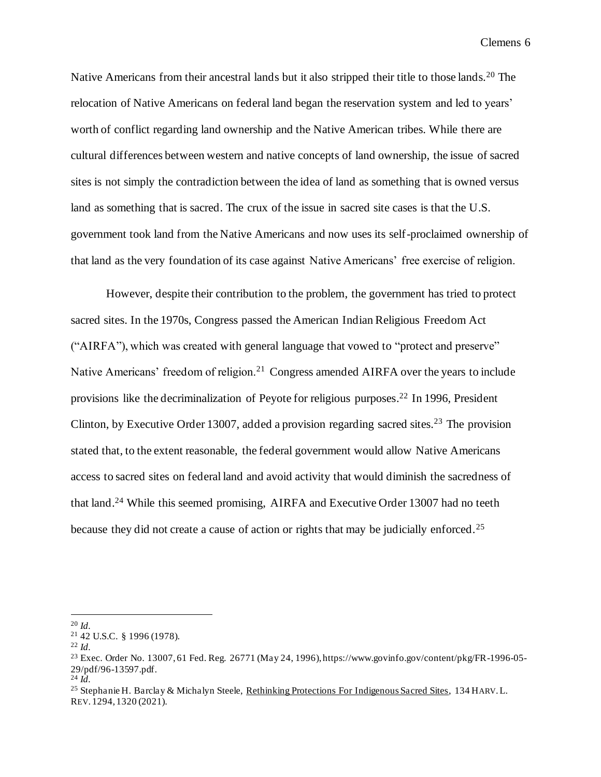Native Americans from their ancestral lands but it also stripped their title to those lands.<sup>20</sup> The relocation of Native Americans on federal land began the reservation system and led to years' worth of conflict regarding land ownership and the Native American tribes. While there are cultural differences between western and native concepts of land ownership, the issue of sacred sites is not simply the contradiction between the idea of land as something that is owned versus land as something that is sacred. The crux of the issue in sacred site cases is that the U.S. government took land from the Native Americans and now uses its self-proclaimed ownership of that land as the very foundation of its case against Native Americans' free exercise of religion.

However, despite their contribution to the problem, the government has tried to protect sacred sites. In the 1970s, Congress passed the American Indian Religious Freedom Act ("AIRFA"), which was created with general language that vowed to "protect and preserve" Native Americans' freedom of religion.<sup>21</sup> Congress amended AIRFA over the years to include provisions like the decriminalization of Peyote for religious purposes. <sup>22</sup> In 1996, President Clinton, by Executive Order 13007, added a provision regarding sacred sites.<sup>23</sup> The provision stated that, to the extent reasonable, the federal government would allow Native Americans access to sacred sites on federal land and avoid activity that would diminish the sacredness of that land.<sup>24</sup> While this seemed promising, AIRFA and Executive Order 13007 had no teeth because they did not create a cause of action or rights that may be judicially enforced.<sup>25</sup>

<sup>20</sup> *Id.*

<sup>21</sup> 42 U.S.C. § 1996 (1978).

<sup>22</sup> *Id.*

<sup>23</sup> Exec. Order No. 13007, 61 Fed. Reg. 26771 (May 24, 1996), https://www.govinfo.gov/content/pkg/FR-1996-05- 29/pdf/96-13597.pdf.

 $^{24}$   $\hat{Id}$ .

<sup>&</sup>lt;sup>25</sup> Stephanie H. Barclay & Michalyn Steele, Rethinking Protections For Indigenous Sacred Sites, 134 HARV.L. REV. 1294, 1320 (2021).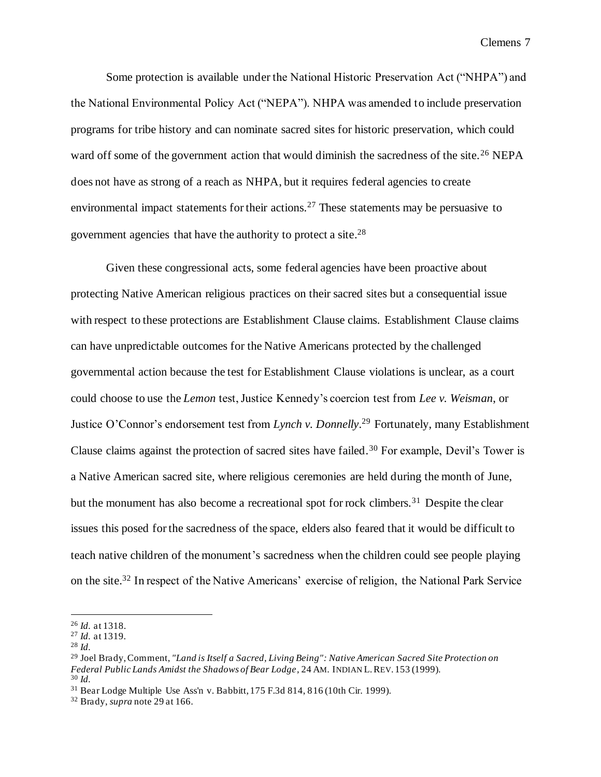Some protection is available under the National Historic Preservation Act ("NHPA") and the National Environmental Policy Act ("NEPA"). NHPA was amended to include preservation programs for tribe history and can nominate sacred sites for historic preservation, which could ward off some of the government action that would diminish the sacredness of the site.<sup>26</sup> NEPA does not have as strong of a reach as NHPA, but it requires federal agencies to create environmental impact statements for their actions.<sup>27</sup> These statements may be persuasive to government agencies that have the authority to protect a site.<sup>28</sup>

Given these congressional acts, some federal agencies have been proactive about protecting Native American religious practices on their sacred sites but a consequential issue with respect to these protections are Establishment Clause claims. Establishment Clause claims can have unpredictable outcomes for the Native Americans protected by the challenged governmental action because the test for Establishment Clause violations is unclear, as a court could choose to use the *Lemon* test, Justice Kennedy's coercion test from *Lee v. Weisman*, or Justice O'Connor's endorsement test from *Lynch v. Donnelly*. <sup>29</sup> Fortunately, many Establishment Clause claims against the protection of sacred sites have failed.<sup>30</sup> For example, Devil's Tower is a Native American sacred site, where religious ceremonies are held during the month of June, but the monument has also become a recreational spot for rock climbers.<sup>31</sup> Despite the clear issues this posed for the sacredness of the space, elders also feared that it would be difficult to teach native children of the monument's sacredness when the children could see people playing on the site.<sup>32</sup> In respect of the Native Americans' exercise of religion, the National Park Service

<sup>26</sup> *Id.* at 1318.

<sup>27</sup> *Id.* at 1319.

<sup>28</sup> *Id.*

<sup>29</sup> Joel Brady, Comment, *"Land is Itself a Sacred, Living Being": Native American Sacred Site Protection on Federal Public Lands Amidst the Shadows of Bear Lodge,* 24 AM. INDIAN L.REV. 153 (1999). <sup>30</sup> *Id.*

<sup>31</sup> Bear Lodge Multiple Use Ass'n v. Babbitt, 175 F.3d 814, 816 (10th Cir. 1999).

<sup>32</sup> Brady, *supra* note 29 at 166.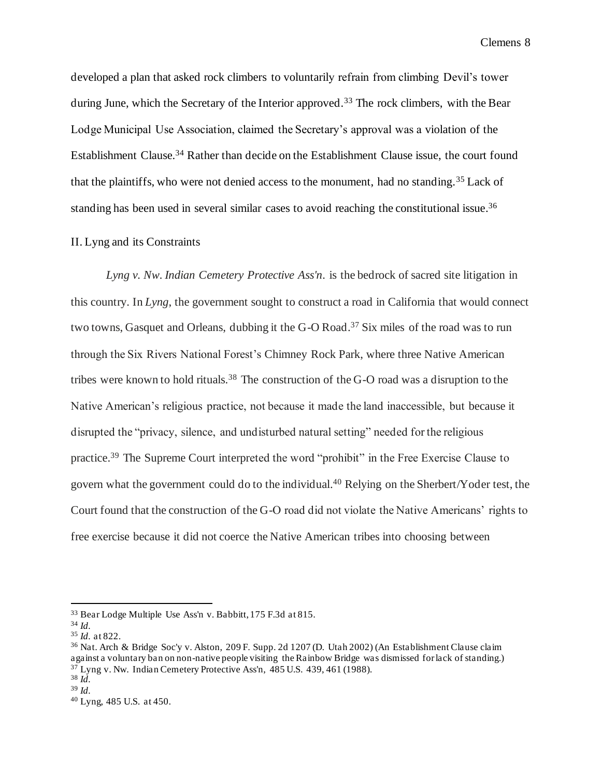developed a plan that asked rock climbers to voluntarily refrain from climbing Devil's tower during June, which the Secretary of the Interior approved.<sup>33</sup> The rock climbers, with the Bear Lodge Municipal Use Association, claimed the Secretary's approval was a violation of the Establishment Clause.<sup>34</sup> Rather than decide on the Establishment Clause issue, the court found that the plaintiffs, who were not denied access to the monument, had no standing.<sup>35</sup> Lack of standing has been used in several similar cases to avoid reaching the constitutional issue.<sup>36</sup>

### II. Lyng and its Constraints

*Lyng v. Nw. Indian Cemetery Protective Ass'n.* is the bedrock of sacred site litigation in this country. In *Lyng*, the government sought to construct a road in California that would connect two towns, Gasquet and Orleans, dubbing it the G-O Road.<sup>37</sup> Six miles of the road was to run through the Six Rivers National Forest's Chimney Rock Park, where three Native American tribes were known to hold rituals.<sup>38</sup> The construction of the G-O road was a disruption to the Native American's religious practice, not because it made the land inaccessible, but because it disrupted the "privacy, silence, and undisturbed natural setting" needed for the religious practice.<sup>39</sup> The Supreme Court interpreted the word "prohibit" in the Free Exercise Clause to govern what the government could do to the individual. <sup>40</sup> Relying on the Sherbert/Yoder test, the Court found that the construction of the G-O road did not violate the Native Americans' rights to free exercise because it did not coerce the Native American tribes into choosing between

<sup>33</sup> Bear Lodge Multiple Use Ass'n v. Babbitt, 175 F.3d at 815.

<sup>34</sup> *Id.*

<sup>35</sup> *Id.* at 822.

<sup>36</sup> Nat. Arch & Bridge Soc'y v. Alston, 209 F. Supp. 2d 1207 (D. Utah 2002) (An Establishment Clause claim against a voluntary ban on non-native people visiting the Rainbow Bridge was dismissed for lack of standing.) <sup>37</sup> Lyng v. Nw. Indian Cemetery Protective Ass'n, 485 U.S. 439, 461 (1988).

<sup>38</sup> *Id.* <sup>39</sup> *Id.*

<sup>40</sup> Lyng, 485 U.S. at 450.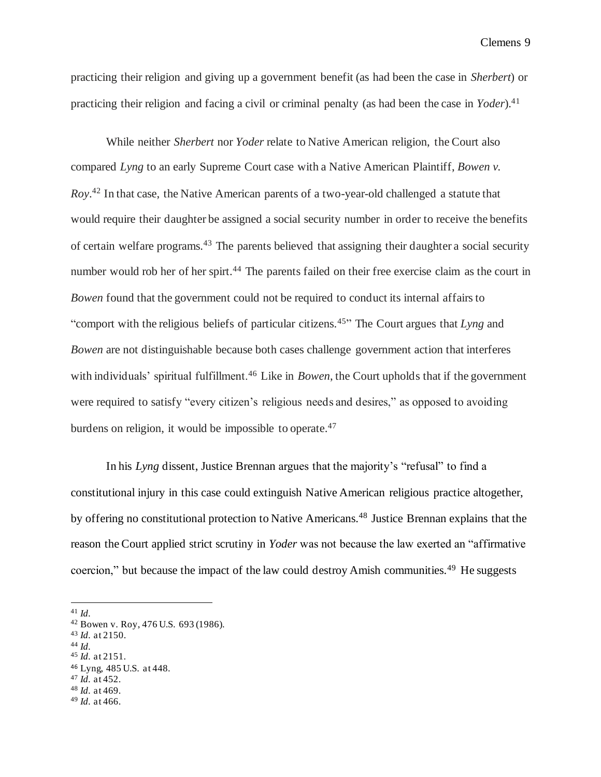practicing their religion and giving up a government benefit (as had been the case in *Sherbert*) or practicing their religion and facing a civil or criminal penalty (as had been the case in *Yoder*). 41

While neither *Sherbert* nor *Yoder* relate to Native American religion, the Court also compared *Lyng* to an early Supreme Court case with a Native American Plaintiff, *Bowen v. Roy*. <sup>42</sup> In that case, the Native American parents of a two-year-old challenged a statute that would require their daughter be assigned a social security number in order to receive the benefits of certain welfare programs.<sup>43</sup> The parents believed that assigning their daughter a social security number would rob her of her spirt.<sup>44</sup> The parents failed on their free exercise claim as the court in *Bowen* found that the government could not be required to conduct its internal affairs to "comport with the religious beliefs of particular citizens.<sup>45</sup>" The Court argues that *Lyng* and *Bowen* are not distinguishable because both cases challenge government action that interferes with individuals' spiritual fulfillment.<sup>46</sup> Like in *Bowen*, the Court upholds that if the government were required to satisfy "every citizen's religious needs and desires," as opposed to avoiding burdens on religion, it would be impossible to operate.<sup>47</sup>

In his *Lyng* dissent, Justice Brennan argues that the majority's "refusal" to find a constitutional injury in this case could extinguish Native American religious practice altogether, by offering no constitutional protection to Native Americans.<sup>48</sup> Justice Brennan explains that the reason the Court applied strict scrutiny in *Yoder* was not because the law exerted an "affirmative coercion," but because the impact of the law could destroy Amish communities.<sup>49</sup> He suggests

<sup>44</sup> *Id.*

- <sup>47</sup> *Id.* at 452.
- <sup>48</sup> *Id.* at 469.

<sup>41</sup> *Id.*

<sup>42</sup> Bowen v. Roy, 476 U.S. 693 (1986).

<sup>43</sup> *Id.* at 2150.

<sup>45</sup> *Id.* at 2151.

<sup>46</sup> Lyng, 485 U.S. at 448.

<sup>49</sup> *Id.* at 466.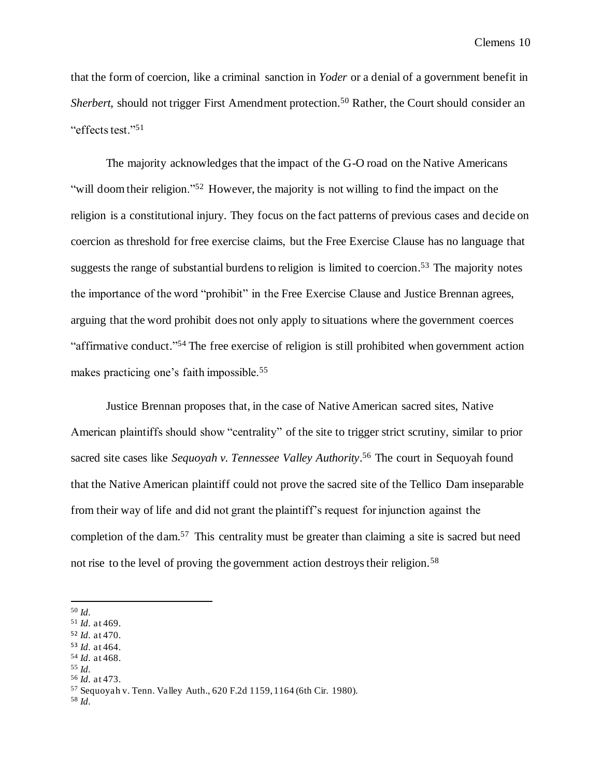that the form of coercion, like a criminal sanction in *Yoder* or a denial of a government benefit in *Sherbert*, should not trigger First Amendment protection.<sup>50</sup> Rather, the Court should consider an "effects test."<sup>51</sup>

The majority acknowledges that the impact of the G-O road on the Native Americans "will doom their religion."<sup>52</sup> However, the majority is not willing to find the impact on the religion is a constitutional injury. They focus on the fact patterns of previous cases and decide on coercion as threshold for free exercise claims, but the Free Exercise Clause has no language that suggests the range of substantial burdens to religion is limited to coercion.<sup>53</sup> The majority notes the importance of the word "prohibit" in the Free Exercise Clause and Justice Brennan agrees, arguing that the word prohibit does not only apply to situations where the government coerces "affirmative conduct."<sup>54</sup> The free exercise of religion is still prohibited when government action makes practicing one's faith impossible.<sup>55</sup>

Justice Brennan proposes that, in the case of Native American sacred sites, Native American plaintiffs should show "centrality" of the site to trigger strict scrutiny, similar to prior sacred site cases like *Sequoyah v. Tennessee Valley Authority*. <sup>56</sup> The court in Sequoyah found that the Native American plaintiff could not prove the sacred site of the Tellico Dam inseparable from their way of life and did not grant the plaintiff's request for injunction against the completion of the dam.<sup>57</sup> This centrality must be greater than claiming a site is sacred but need not rise to the level of proving the government action destroys their religion.<sup>58</sup>

- <sup>54</sup> *Id.* at 468.
- <sup>55</sup> *Id.*
- <sup>56</sup> *Id.* at 473.

<sup>58</sup> *Id.*

<sup>50</sup> *Id.*

<sup>51</sup> *Id.* at 469.

<sup>52</sup> *Id.* at 470.

<sup>53</sup> *Id.* at 464.

<sup>57</sup> Sequoyah v. Tenn. Valley Auth., 620 F.2d 1159, 1164 (6th Cir. 1980).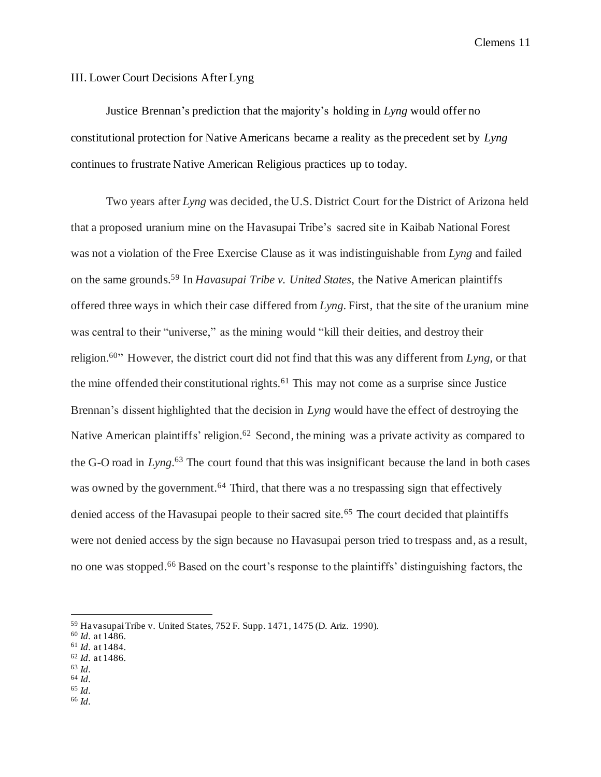### III. Lower Court Decisions After Lyng

Justice Brennan's prediction that the majority's holding in *Lyng* would offer no constitutional protection for Native Americans became a reality as the precedent set by *Lyng* continues to frustrate Native American Religious practices up to today.

Two years after *Lyng* was decided, the U.S. District Court for the District of Arizona held that a proposed uranium mine on the Havasupai Tribe's sacred site in Kaibab National Forest was not a violation of the Free Exercise Clause as it was indistinguishable from *Lyng* and failed on the same grounds.<sup>59</sup> In *Havasupai Tribe v. United States*, the Native American plaintiffs offered three ways in which their case differed from *Lyng*. First, that the site of the uranium mine was central to their "universe," as the mining would "kill their deities, and destroy their religion. <sup>60</sup>" However, the district court did not find that this was any different from *Lyng*, or that the mine offended their constitutional rights.<sup>61</sup> This may not come as a surprise since Justice Brennan's dissent highlighted that the decision in *Lyng* would have the effect of destroying the Native American plaintiffs' religion.<sup>62</sup> Second, the mining was a private activity as compared to the G-O road in *Lyng*. <sup>63</sup> The court found that this was insignificant because the land in both cases was owned by the government.<sup>64</sup> Third, that there was a no trespassing sign that effectively denied access of the Havasupai people to their sacred site.<sup>65</sup> The court decided that plaintiffs were not denied access by the sign because no Havasupai person tried to trespass and, as a result, no one was stopped.<sup>66</sup> Based on the court's response to the plaintiffs' distinguishing factors, the

- <sup>61</sup> *Id.* at 1484. <sup>62</sup> *Id.* at 1486.
- <sup>63</sup> *Id.*
- <sup>64</sup> *Id.*
- <sup>65</sup> *Id.*
- <sup>66</sup> *Id.*

<sup>59</sup> Havasupai Tribe v. United States, 752 F. Supp. 1471, 1475 (D. Ariz. 1990).

<sup>60</sup> *Id.* at 1486.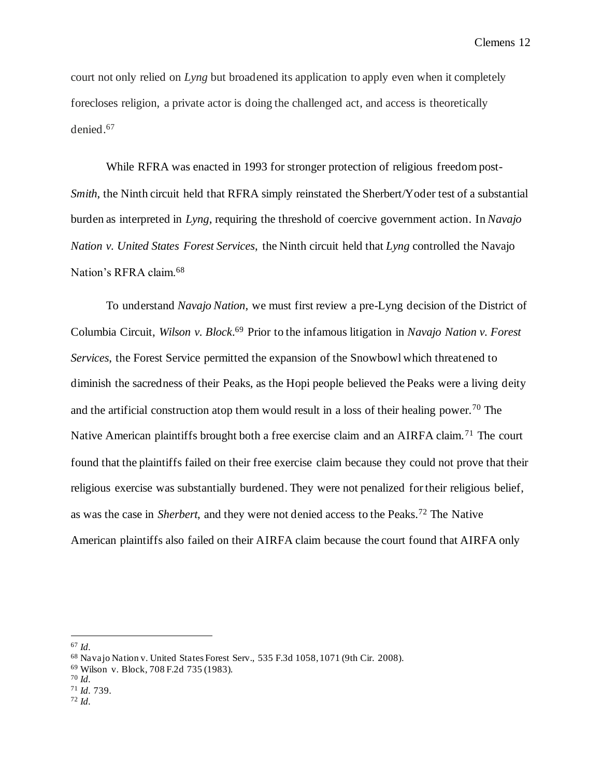court not only relied on *Lyng* but broadened its application to apply even when it completely forecloses religion, a private actor is doing the challenged act, and access is theoretically denied.<sup>67</sup>

While RFRA was enacted in 1993 for stronger protection of religious freedom post-*Smith*, the Ninth circuit held that RFRA simply reinstated the Sherbert/Yoder test of a substantial burden as interpreted in *Lyng*, requiring the threshold of coercive government action. In *Navajo Nation v. United States Forest Services*, the Ninth circuit held that *Lyng* controlled the Navajo Nation's RFRA claim.<sup>68</sup>

To understand *Navajo Nation*, we must first review a pre-Lyng decision of the District of Columbia Circuit, *Wilson v. Block*. <sup>69</sup> Prior to the infamous litigation in *Navajo Nation v. Forest Services*, the Forest Service permitted the expansion of the Snowbowl which threatened to diminish the sacredness of their Peaks, as the Hopi people believed the Peaks were a living deity and the artificial construction atop them would result in a loss of their healing power.<sup>70</sup> The Native American plaintiffs brought both a free exercise claim and an AIRFA claim.<sup>71</sup> The court found that the plaintiffs failed on their free exercise claim because they could not prove that their religious exercise was substantially burdened. They were not penalized for their religious belief, as was the case in *Sherbert*, and they were not denied access to the Peaks.<sup>72</sup> The Native American plaintiffs also failed on their AIRFA claim because the court found that AIRFA only

<sup>67</sup> *Id.*

<sup>68</sup> Navajo Nation v. United States Forest Serv., 535 F.3d 1058, 1071 (9th Cir. 2008).

<sup>69</sup> Wilson v. Block, 708 F.2d 735 (1983).

<sup>70</sup> *Id.*

<sup>71</sup> *Id.* 739.

<sup>72</sup> *Id.*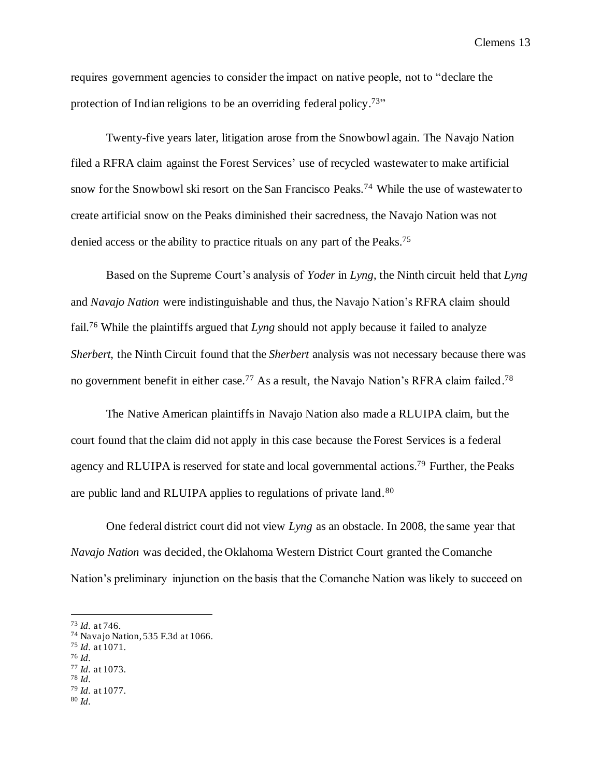requires government agencies to consider the impact on native people, not to "declare the protection of Indian religions to be an overriding federal policy.<sup>73</sup>"

Twenty-five years later, litigation arose from the Snowbowl again. The Navajo Nation filed a RFRA claim against the Forest Services' use of recycled wastewater to make artificial snow for the Snowbowl ski resort on the San Francisco Peaks.<sup>74</sup> While the use of wastewater to create artificial snow on the Peaks diminished their sacredness, the Navajo Nation was not denied access or the ability to practice rituals on any part of the Peaks.<sup>75</sup>

Based on the Supreme Court's analysis of *Yoder* in *Lyng*, the Ninth circuit held that *Lyng*  and *Navajo Nation* were indistinguishable and thus, the Navajo Nation's RFRA claim should fail.<sup>76</sup> While the plaintiffs argued that *Lyng* should not apply because it failed to analyze *Sherbert*, the Ninth Circuit found that the *Sherbert* analysis was not necessary because there was no government benefit in either case.<sup>77</sup> As a result, the Navajo Nation's RFRA claim failed.<sup>78</sup>

The Native American plaintiffs in Navajo Nation also made a RLUIPA claim, but the court found that the claim did not apply in this case because the Forest Services is a federal agency and RLUIPA is reserved for state and local governmental actions.<sup>79</sup> Further, the Peaks are public land and RLUIPA applies to regulations of private land.<sup>80</sup>

One federal district court did not view *Lyng* as an obstacle. In 2008, the same year that *Navajo Nation* was decided, the Oklahoma Western District Court granted the Comanche Nation's preliminary injunction on the basis that the Comanche Nation was likely to succeed on

- <sup>79</sup> *Id.* at 1077.
- <sup>80</sup> *Id.*

<sup>73</sup> *Id.* at 746.

<sup>74</sup> Navajo Nation, 535 F.3d at 1066.

<sup>75</sup> *Id.* at 1071.

<sup>76</sup> *Id.*

<sup>77</sup> *Id.* at 1073. <sup>78</sup> *Id.*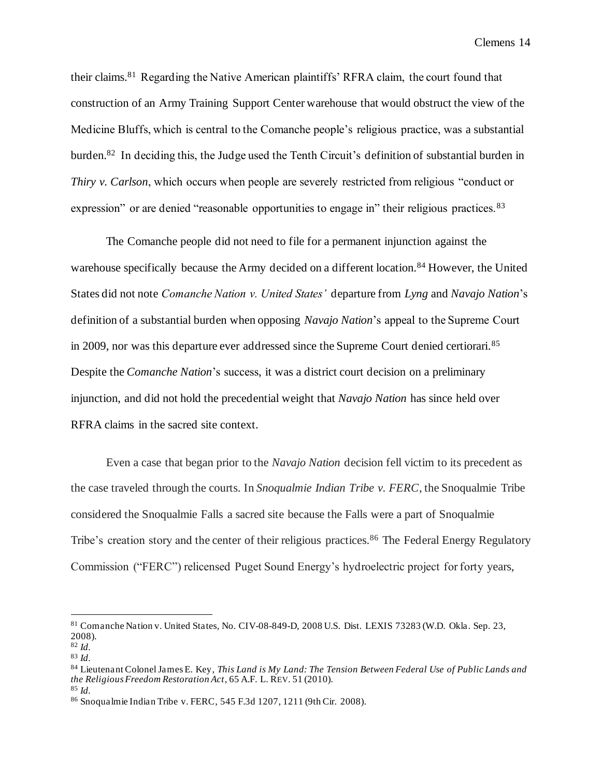their claims.<sup>81</sup> Regarding the Native American plaintiffs' RFRA claim, the court found that construction of an Army Training Support Center warehouse that would obstruct the view of the Medicine Bluffs, which is central to the Comanche people's religious practice, was a substantial burden.<sup>82</sup> In deciding this, the Judge used the Tenth Circuit's definition of substantial burden in *Thiry v. Carlson*, which occurs when people are severely restricted from religious "conduct or expression" or are denied "reasonable opportunities to engage in" their religious practices. <sup>83</sup>

The Comanche people did not need to file for a permanent injunction against the warehouse specifically because the Army decided on a different location.<sup>84</sup> However, the United States did not note *Comanche Nation v. United States'* departure from *Lyng* and *Navajo Nation*'s definition of a substantial burden when opposing *Navajo Nation*'s appeal to the Supreme Court in 2009, nor was this departure ever addressed since the Supreme Court denied certiorari.<sup>85</sup> Despite the *Comanche Nation*'s success, it was a district court decision on a preliminary injunction, and did not hold the precedential weight that *Navajo Nation* has since held over RFRA claims in the sacred site context.

Even a case that began prior to the *Navajo Nation* decision fell victim to its precedent as the case traveled through the courts. In *Snoqualmie Indian Tribe v. FERC*, the Snoqualmie Tribe considered the Snoqualmie Falls a sacred site because the Falls were a part of Snoqualmie Tribe's creation story and the center of their religious practices.<sup>86</sup> The Federal Energy Regulatory Commission ("FERC") relicensed Puget Sound Energy's hydroelectric project for forty years,

<sup>81</sup> Comanche Nation v. United States, No. CIV-08-849-D, 2008 U.S. Dist. LEXIS 73283 (W.D. Okla. Sep. 23, 2008). <sup>82</sup> *Id.*

<sup>83</sup> *Id.*

<sup>84</sup> Lieutenant Colonel James E. Key, *This Land is My Land: The Tension Between Federal Use of Public Lands and the Religious Freedom Restoration Act*, 65 A.F. L. REV. 51 (2010).

<sup>85</sup> *Id.*

<sup>86</sup> Snoqualmie Indian Tribe v. FERC, 545 F.3d 1207, 1211 (9th Cir. 2008).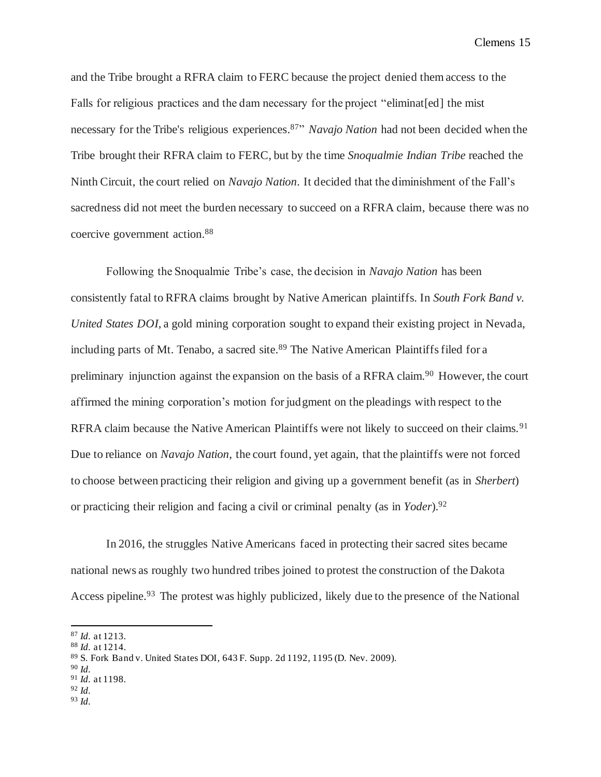and the Tribe brought a RFRA claim to FERC because the project denied them access to the Falls for religious practices and the dam necessary for the project "eliminat [ed] the mist necessary for the Tribe's religious experiences. <sup>87</sup>" *Navajo Nation* had not been decided when the Tribe brought their RFRA claim to FERC, but by the time *Snoqualmie Indian Tribe* reached the Ninth Circuit, the court relied on *Navajo Nation*. It decided that the diminishment of the Fall's sacredness did not meet the burden necessary to succeed on a RFRA claim, because there was no coercive government action. 88

Following the Snoqualmie Tribe's case, the decision in *Navajo Nation* has been consistently fatal to RFRA claims brought by Native American plaintiffs. In *South Fork Band v. United States DOI*, a gold mining corporation sought to expand their existing project in Nevada, including parts of Mt. Tenabo, a sacred site.<sup>89</sup> The Native American Plaintiffs filed for a preliminary injunction against the expansion on the basis of a RFRA claim.<sup>90</sup> However, the court affirmed the mining corporation's motion for judgment on the pleadings with respect to the RFRA claim because the Native American Plaintiffs were not likely to succeed on their claims.<sup>91</sup> Due to reliance on *Navajo Nation*, the court found, yet again, that the plaintiffs were not forced to choose between practicing their religion and giving up a government benefit (as in *Sherbert*) or practicing their religion and facing a civil or criminal penalty (as in *Yoder*). 92

In 2016, the struggles Native Americans faced in protecting their sacred sites became national news as roughly two hundred tribes joined to protest the construction of the Dakota Access pipeline.<sup>93</sup> The protest was highly publicized, likely due to the presence of the National

- <sup>90</sup> *Id.*
- <sup>91</sup> *Id.* at 1198. <sup>92</sup> *Id.*
- 
- <sup>93</sup> *Id.*

<sup>87</sup> *Id.* at 1213.

<sup>88</sup> *Id.* at 1214.

<sup>89</sup> S. Fork Band v. United States DOI, 643 F. Supp. 2d 1192, 1195 (D. Nev. 2009).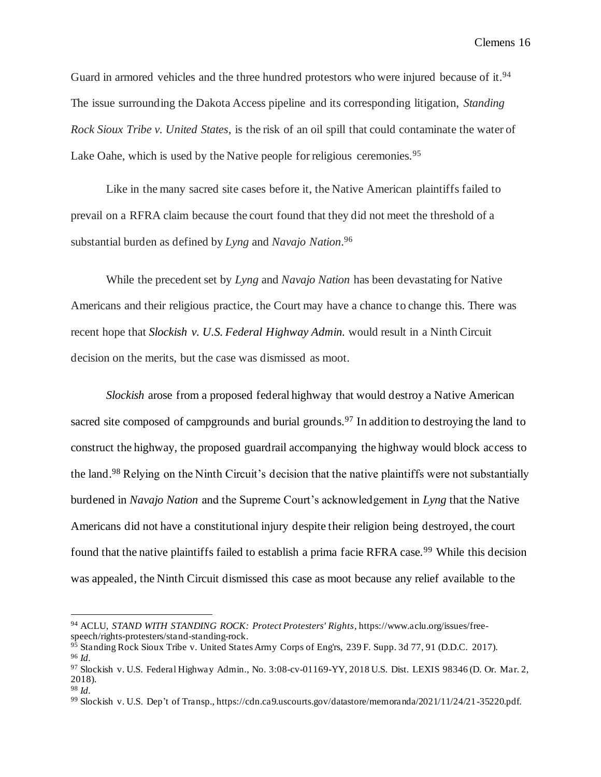Guard in armored vehicles and the three hundred protestors who were injured because of it.<sup>94</sup> The issue surrounding the Dakota Access pipeline and its corresponding litigation, *Standing Rock Sioux Tribe v. United States*, is the risk of an oil spill that could contaminate the water of Lake Oahe, which is used by the Native people for religious ceremonies.<sup>95</sup>

Like in the many sacred site cases before it, the Native American plaintiffs failed to prevail on a RFRA claim because the court found that they did not meet the threshold of a substantial burden as defined by *Lyng* and *Navajo Nation*. 96

While the precedent set by *Lyng* and *Navajo Nation* has been devastating for Native Americans and their religious practice, the Court may have a chance to change this. There was recent hope that *Slockish v. U.S. Federal Highway Admin.* would result in a Ninth Circuit decision on the merits, but the case was dismissed as moot.

*Slockish* arose from a proposed federal highway that would destroy a Native American sacred site composed of campgrounds and burial grounds.<sup>97</sup> In addition to destroying the land to construct the highway, the proposed guardrail accompanying the highway would block access to the land.<sup>98</sup> Relying on the Ninth Circuit's decision that the native plaintiffs were not substantially burdened in *Navajo Nation* and the Supreme Court's acknowledgement in *Lyng* that the Native Americans did not have a constitutional injury despite their religion being destroyed, the court found that the native plaintiffs failed to establish a prima facie RFRA case.<sup>99</sup> While this decision was appealed, the Ninth Circuit dismissed this case as moot because any relief available to the

<sup>94</sup> ACLU, *STAND WITH STANDING ROCK: Protect Protesters' Rights*, https://www.aclu.org/issues/freespeech/rights-protesters/stand-standing-rock.

<sup>&</sup>lt;sup>95</sup> Standing Rock Sioux Tribe v. United States Army Corps of Eng'rs, 239 F. Supp. 3d 77, 91 (D.D.C. 2017). <sup>96</sup> *Id.*

<sup>97</sup> Slockish v. U.S. Federal Highway Admin., No. 3:08-cv-01169-YY, 2018 U.S. Dist. LEXIS 98346 (D. Or. Mar. 2, 2018).

<sup>98</sup> *Id.*

<sup>99</sup> Slockish v. U.S. Dep't of Transp., https://cdn.ca9.uscourts.gov/datastore/memoranda/2021/11/24/21-35220.pdf.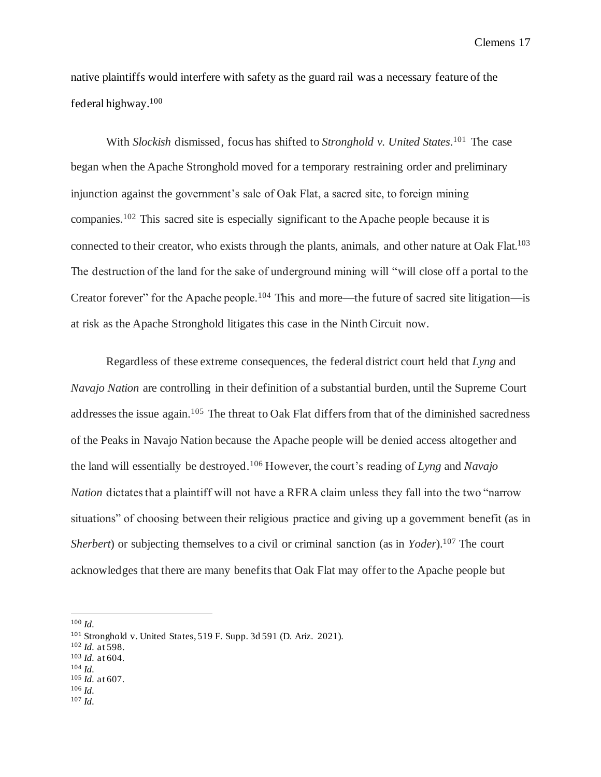native plaintiffs would interfere with safety as the guard rail was a necessary feature of the federal highway. 100

With *Slockish* dismissed, focus has shifted to *Stronghold v. United States*. <sup>101</sup> The case began when the Apache Stronghold moved for a temporary restraining order and preliminary injunction against the government's sale of Oak Flat, a sacred site, to foreign mining companies.<sup>102</sup> This sacred site is especially significant to the Apache people because it is connected to their creator, who exists through the plants, animals, and other nature at Oak Flat.<sup>103</sup> The destruction of the land for the sake of underground mining will "will close off a portal to the Creator forever" for the Apache people.<sup>104</sup> This and more—the future of sacred site litigation—is at risk as the Apache Stronghold litigates this case in the Ninth Circuit now.

Regardless of these extreme consequences, the federal district court held that *Lyng* and *Navajo Nation* are controlling in their definition of a substantial burden, until the Supreme Court addresses the issue again.<sup>105</sup> The threat to Oak Flat differs from that of the diminished sacredness of the Peaks in Navajo Nation because the Apache people will be denied access altogether and the land will essentially be destroyed.<sup>106</sup> However, the court's reading of *Lyng* and *Navajo Nation* dictates that a plaintiff will not have a RFRA claim unless they fall into the two "narrow situations" of choosing between their religious practice and giving up a government benefit (as in *Sherbert*) or subjecting themselves to a civil or criminal sanction (as in *Yoder*). <sup>107</sup> The court acknowledges that there are many benefits that Oak Flat may offer to the Apache people but

<sup>100</sup> *Id.*

- <sup>102</sup> *Id.* at 598.
- <sup>103</sup> *Id.* at 604.
- <sup>104</sup> *Id.*
- <sup>105</sup> *Id.* at 607. <sup>106</sup> *Id.*
- <sup>107</sup> *Id.*

<sup>101</sup> Stronghold v. United States, 519 F. Supp. 3d 591 (D. Ariz. 2021).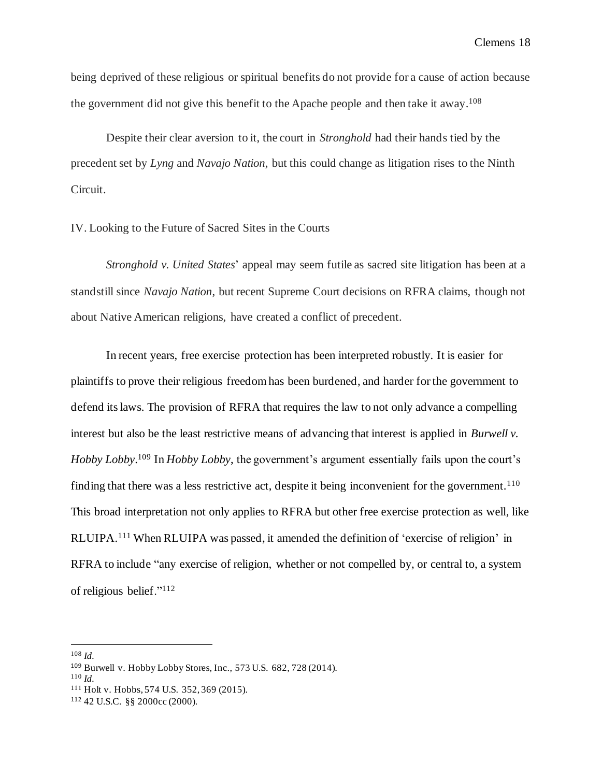being deprived of these religious or spiritual benefits do not provide for a cause of action because the government did not give this benefit to the Apache people and then take it away. 108

Despite their clear aversion to it, the court in *Stronghold* had their hands tied by the precedent set by *Lyng* and *Navajo Nation*, but this could change as litigation rises to the Ninth Circuit.

#### IV. Looking to the Future of Sacred Sites in the Courts

*Stronghold v. United States*' appeal may seem futile as sacred site litigation has been at a standstill since *Navajo Nation*, but recent Supreme Court decisions on RFRA claims, though not about Native American religions, have created a conflict of precedent.

In recent years, free exercise protection has been interpreted robustly. It is easier for plaintiffs to prove their religious freedom has been burdened, and harder for the government to defend its laws. The provision of RFRA that requires the law to not only advance a compelling interest but also be the least restrictive means of advancing that interest is applied in *Burwell v. Hobby Lobby*. <sup>109</sup> In *Hobby Lobby*, the government's argument essentially fails upon the court's finding that there was a less restrictive act, despite it being inconvenient for the government.<sup>110</sup> This broad interpretation not only applies to RFRA but other free exercise protection as well, like RLUIPA.<sup>111</sup> When RLUIPA was passed, it amended the definition of 'exercise of religion' in RFRA to include "any exercise of religion, whether or not compelled by, or central to, a system of religious belief."<sup>112</sup>

<sup>108</sup> *Id.*

<sup>109</sup> Burwell v. Hobby Lobby Stores, Inc., 573 U.S. 682, 728 (2014).

<sup>110</sup> *Id.*

<sup>111</sup> Holt v. Hobbs, 574 U.S. 352, 369 (2015).

<sup>112</sup> 42 U.S.C. §§ 2000cc (2000).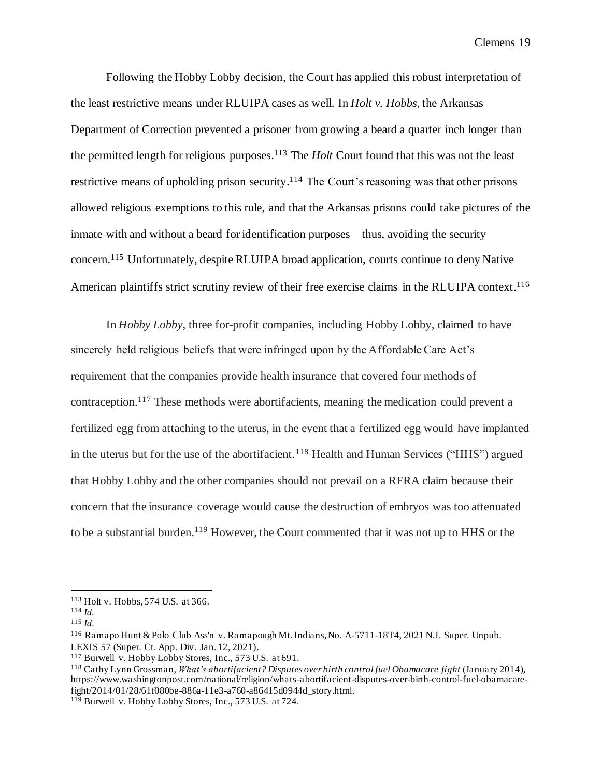Following the Hobby Lobby decision, the Court has applied this robust interpretation of the least restrictive means under RLUIPA cases as well. In *Holt v. Hobbs*, the Arkansas Department of Correction prevented a prisoner from growing a beard a quarter inch longer than the permitted length for religious purposes. <sup>113</sup> The *Holt* Court found that this was not the least restrictive means of upholding prison security.<sup>114</sup> The Court's reasoning was that other prisons allowed religious exemptions to this rule, and that the Arkansas prisons could take pictures of the inmate with and without a beard for identification purposes—thus, avoiding the security concern. <sup>115</sup> Unfortunately, despite RLUIPA broad application, courts continue to deny Native American plaintiffs strict scrutiny review of their free exercise claims in the RLUIPA context.<sup>116</sup>

In *Hobby Lobby*, three for-profit companies, including Hobby Lobby, claimed to have sincerely held religious beliefs that were infringed upon by the Affordable Care Act's requirement that the companies provide health insurance that covered four methods of contraception.<sup>117</sup> These methods were abortifacients, meaning the medication could prevent a fertilized egg from attaching to the uterus, in the event that a fertilized egg would have implanted in the uterus but for the use of the abortifacient.<sup>118</sup> Health and Human Services ("HHS") argued that Hobby Lobby and the other companies should not prevail on a RFRA claim because their concern that the insurance coverage would cause the destruction of embryos was too attenuated to be a substantial burden.<sup>119</sup> However, the Court commented that it was not up to HHS or the

<sup>113</sup> Holt v. Hobbs, 574 U.S. at 366.

<sup>114</sup> *Id.*

<sup>115</sup> *Id.*

<sup>&</sup>lt;sup>116</sup> Ramapo Hunt & Polo Club Ass'n v. Ramapough Mt. Indians, No. A-5711-18T4, 2021 N.J. Super. Unpub. LEXIS 57 (Super. Ct. App. Div. Jan. 12, 2021).

<sup>117</sup> Burwell v. Hobby Lobby Stores, Inc., 573 U.S. at 691.

<sup>118</sup> Cathy Lynn Grossman, *What's abortifacient? Disputes over birth control fuel Obamacare fight* (January 2014), https://www.washingtonpost.com/national/religion/whats-abortifacient-disputes-over-birth-control-fuel-obamacarefight/2014/01/28/61f080be-886a-11e3-a760-a86415d0944d\_story.html.

<sup>119</sup> Burwell v. Hobby Lobby Stores, Inc., 573 U.S. at 724.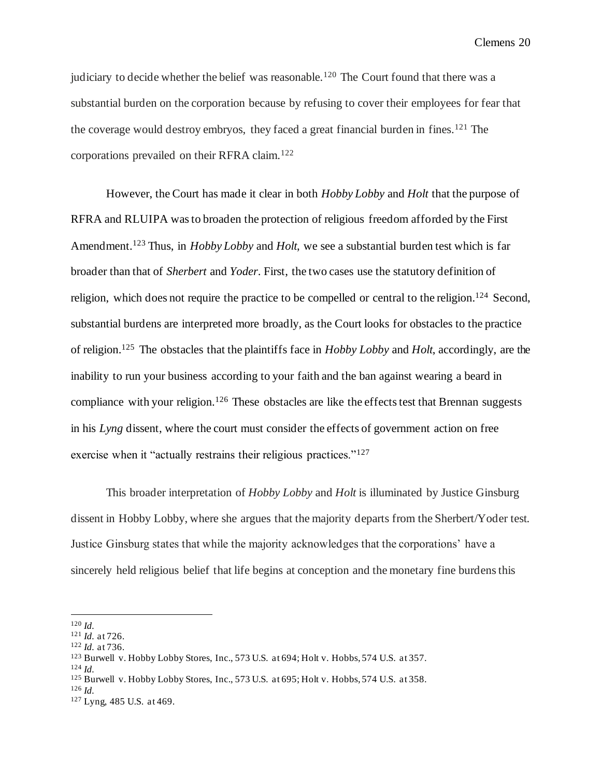judiciary to decide whether the belief was reasonable.<sup>120</sup> The Court found that there was a substantial burden on the corporation because by refusing to cover their employees for fear that the coverage would destroy embryos, they faced a great financial burden in fines.<sup>121</sup> The corporations prevailed on their RFRA claim.<sup>122</sup>

However, the Court has made it clear in both *Hobby Lobby* and *Holt* that the purpose of RFRA and RLUIPA was to broaden the protection of religious freedom afforded by the First Amendment.<sup>123</sup> Thus, in *Hobby Lobby* and *Holt*, we see a substantial burden test which is far broader than that of *Sherbert* and *Yoder*. First, the two cases use the statutory definition of religion, which does not require the practice to be compelled or central to the religion.<sup>124</sup> Second, substantial burdens are interpreted more broadly, as the Court looks for obstacles to the practice of religion. <sup>125</sup> The obstacles that the plaintiffs face in *Hobby Lobby* and *Holt*, accordingly, are the inability to run your business according to your faith and the ban against wearing a beard in compliance with your religion.<sup>126</sup> These obstacles are like the effects test that Brennan suggests in his *Lyng* dissent, where the court must consider the effects of government action on free exercise when it "actually restrains their religious practices."<sup>127</sup>

This broader interpretation of *Hobby Lobby* and *Holt* is illuminated by Justice Ginsburg dissent in Hobby Lobby, where she argues that the majority departs from the Sherbert/Yoder test. Justice Ginsburg states that while the majority acknowledges that the corporations' have a sincerely held religious belief that life begins at conception and the monetary fine burdens this

<sup>126</sup> *Id.*

<sup>120</sup> *Id.*

<sup>121</sup> *Id.* at 726.

<sup>122</sup> *Id.* at 736.

<sup>123</sup> Burwell v. Hobby Lobby Stores, Inc., 573 U.S. at 694; Holt v. Hobbs, 574 U.S. at 357.

<sup>124</sup> *Id.*

<sup>125</sup> Burwell v. Hobby Lobby Stores, Inc., 573 U.S. at 695; Holt v. Hobbs, 574 U.S. at 358.

<sup>127</sup> Lyng, 485 U.S. at 469.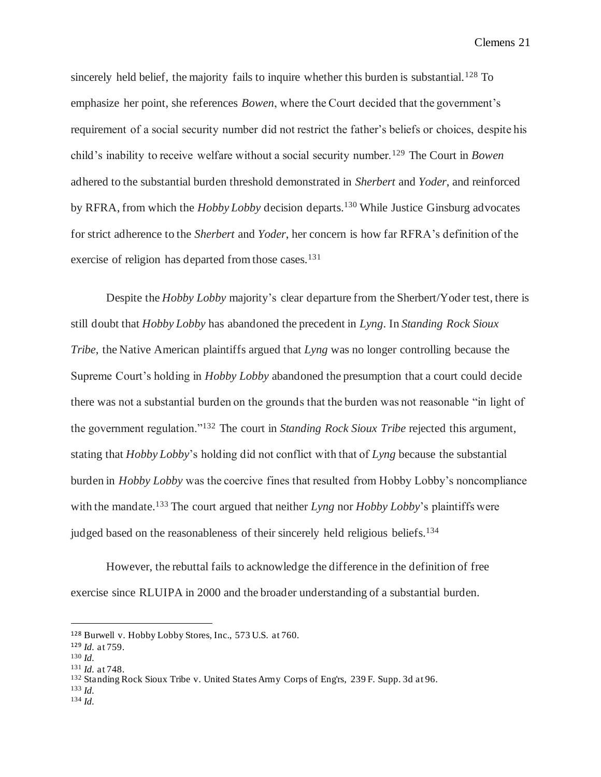sincerely held belief, the majority fails to inquire whether this burden is substantial.<sup>128</sup> To emphasize her point, she references *Bowen*, where the Court decided that the government's requirement of a social security number did not restrict the father's beliefs or choices, despite his child's inability to receive welfare without a social security number.<sup>129</sup> The Court in *Bowen* adhered to the substantial burden threshold demonstrated in *Sherbert* and *Yoder*, and reinforced by RFRA, from which the *Hobby Lobby* decision departs.<sup>130</sup> While Justice Ginsburg advocates for strict adherence to the *Sherbert* and *Yoder*, her concern is how far RFRA's definition of the exercise of religion has departed from those cases.<sup>131</sup>

Despite the *Hobby Lobby* majority's clear departure from the Sherbert/Yoder test, there is still doubt that *Hobby Lobby* has abandoned the precedent in *Lyng*. In *Standing Rock Sioux Tribe*, the Native American plaintiffs argued that *Lyng* was no longer controlling because the Supreme Court's holding in *Hobby Lobby* abandoned the presumption that a court could decide there was not a substantial burden on the grounds that the burden was not reasonable "in light of the government regulation."<sup>132</sup> The court in *Standing Rock Sioux Tribe* rejected this argument, stating that *Hobby Lobby*'s holding did not conflict with that of *Lyng* because the substantial burden in *Hobby Lobby* was the coercive fines that resulted from Hobby Lobby's noncompliance with the mandate.<sup>133</sup> The court argued that neither *Lyng* nor *Hobby Lobby*'s plaintiffs were judged based on the reasonableness of their sincerely held religious beliefs.<sup>134</sup>

However, the rebuttal fails to acknowledge the difference in the definition of free exercise since RLUIPA in 2000 and the broader understanding of a substantial burden.

<sup>133</sup> *Id.*

<sup>128</sup> Burwell v. Hobby Lobby Stores, Inc., 573 U.S. at 760.

<sup>129</sup> *Id.* at 759.

<sup>130</sup> *Id.*

<sup>131</sup> *Id.* at 748.

<sup>132</sup> Standing Rock Sioux Tribe v. United States Army Corps of Eng'rs, 239 F. Supp. 3d at 96.

<sup>134</sup> *Id.*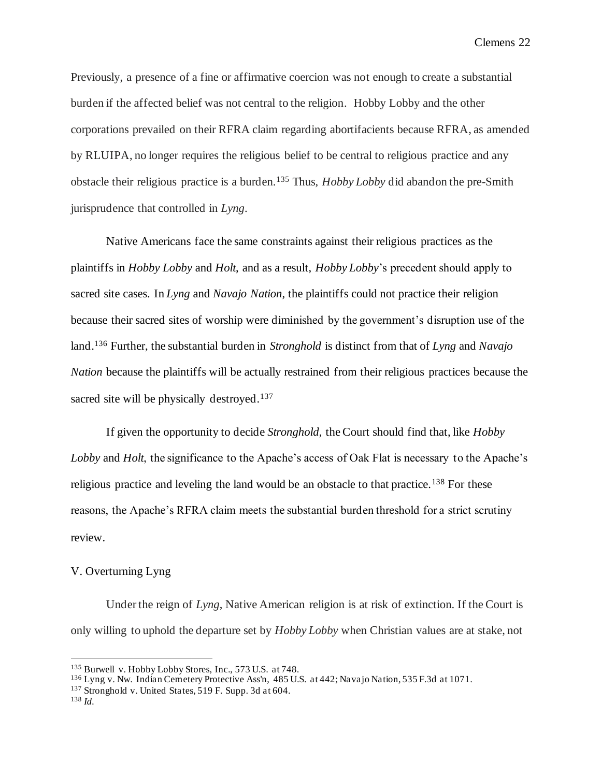Previously, a presence of a fine or affirmative coercion was not enough to create a substantial burden if the affected belief was not central to the religion. Hobby Lobby and the other corporations prevailed on their RFRA claim regarding abortifacients because RFRA, as amended by RLUIPA, no longer requires the religious belief to be central to religious practice and any obstacle their religious practice is a burden.<sup>135</sup> Thus, *Hobby Lobby* did abandon the pre-Smith jurisprudence that controlled in *Lyng*.

Native Americans face the same constraints against their religious practices as the plaintiffs in *Hobby Lobby* and *Holt*, and as a result, *Hobby Lobby*'s precedent should apply to sacred site cases. In *Lyng* and *Navajo Nation*, the plaintiffs could not practice their religion because their sacred sites of worship were diminished by the government's disruption use of the land.<sup>136</sup> Further, the substantial burden in *Stronghold* is distinct from that of *Lyng* and *Navajo Nation* because the plaintiffs will be actually restrained from their religious practices because the sacred site will be physically destroyed.<sup>137</sup>

If given the opportunity to decide *Stronghold*, the Court should find that, like *Hobby Lobby* and *Holt*, the significance to the Apache's access of Oak Flat is necessary to the Apache's religious practice and leveling the land would be an obstacle to that practice.<sup>138</sup> For these reasons, the Apache's RFRA claim meets the substantial burden threshold for a strict scrutiny review.

# V. Overturning Lyng

Under the reign of *Lyng*, Native American religion is at risk of extinction. If the Court is only willing to uphold the departure set by *Hobby Lobby* when Christian values are at stake, not

<sup>135</sup> Burwell v. Hobby Lobby Stores, Inc., 573 U.S. at 748.

<sup>136</sup> Lyng v. Nw. Indian Cemetery Protective Ass'n, 485 U.S. at 442; Navajo Nation, 535 F.3d at 1071.

<sup>137</sup> Stronghold v. United States, 519 F. Supp. 3d at 604.

<sup>138</sup> *Id.*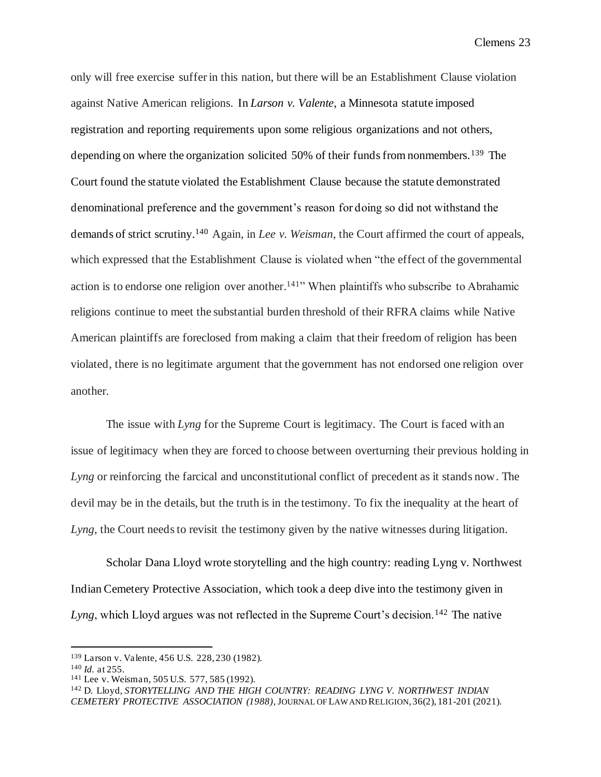only will free exercise suffer in this nation, but there will be an Establishment Clause violation against Native American religions. In *Larson v. Valente*, a Minnesota statute imposed registration and reporting requirements upon some religious organizations and not others, depending on where the organization solicited 50% of their funds from nonmembers.<sup>139</sup> The Court found the statute violated the Establishment Clause because the statute demonstrated denominational preference and the government's reason for doing so did not withstand the demands of strict scrutiny.<sup>140</sup> Again, in *Lee v. Weisman*, the Court affirmed the court of appeals, which expressed that the Establishment Clause is violated when "the effect of the governmental action is to endorse one religion over another.<sup>141</sup> When plaintiffs who subscribe to Abrahamic religions continue to meet the substantial burden threshold of their RFRA claims while Native American plaintiffs are foreclosed from making a claim that their freedom of religion has been violated, there is no legitimate argument that the government has not endorsed one religion over another.

The issue with *Lyng* for the Supreme Court is legitimacy. The Court is faced with an issue of legitimacy when they are forced to choose between overturning their previous holding in *Lyng* or reinforcing the farcical and unconstitutional conflict of precedent as it stands now. The devil may be in the details, but the truth is in the testimony. To fix the inequality at the heart of *Lyng*, the Court needs to revisit the testimony given by the native witnesses during litigation.

Scholar Dana Lloyd wrote storytelling and the high country: reading Lyng v. Northwest Indian Cemetery Protective Association, which took a deep dive into the testimony given in Lyng, which Lloyd argues was not reflected in the Supreme Court's decision.<sup>142</sup> The native

<sup>139</sup> Larson v. Valente, 456 U.S. 228, 230 (1982).

<sup>140</sup> *Id.* at 255.

<sup>141</sup> Lee v. Weisman, 505 U.S. 577, 585 (1992).

<sup>142</sup> D. Lloyd, *STORYTELLING AND THE HIGH COUNTRY: READING LYNG V. NORTHWEST INDIAN CEMETERY PROTECTIVE ASSOCIATION (1988),* JOURNAL OF LAW AND RELIGION, 36(2), 181-201 (2021).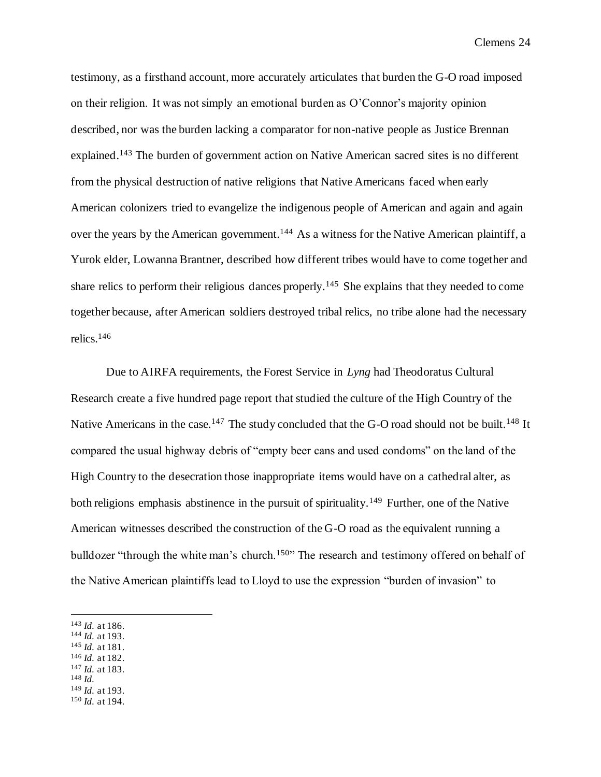testimony, as a firsthand account, more accurately articulates that burden the G-O road imposed on their religion. It was not simply an emotional burden as O'Connor's majority opinion described, nor was the burden lacking a comparator for non-native people as Justice Brennan explained.<sup>143</sup> The burden of government action on Native American sacred sites is no different from the physical destruction of native religions that Native Americans faced when early American colonizers tried to evangelize the indigenous people of American and again and again over the years by the American government.<sup>144</sup> As a witness for the Native American plaintiff, a Yurok elder, Lowanna Brantner, described how different tribes would have to come together and share relics to perform their religious dances properly.<sup>145</sup> She explains that they needed to come together because, after American soldiers destroyed tribal relics, no tribe alone had the necessary relics.<sup>146</sup>

Due to AIRFA requirements, the Forest Service in *Lyng* had Theodoratus Cultural Research create a five hundred page report that studied the culture of the High Country of the Native Americans in the case.<sup>147</sup> The study concluded that the G-O road should not be built.<sup>148</sup> It compared the usual highway debris of "empty beer cans and used condoms" on the land of the High Country to the desecration those inappropriate items would have on a cathedral alter, as both religions emphasis abstinence in the pursuit of spirituality.<sup>149</sup> Further, one of the Native American witnesses described the construction of the G-O road as the equivalent running a bulldozer "through the white man's church.<sup>150</sup>" The research and testimony offered on behalf of the Native American plaintiffs lead to Lloyd to use the expression "burden of invasion" to

- <sup>144</sup> *Id.* at 193.
- <sup>145</sup> *Id.* at 181.
- <sup>146</sup> *Id.* at 182. <sup>147</sup> *Id.* at 183.
- <sup>148</sup> *Id.*
- <sup>149</sup> *Id.* at 193.
- <sup>150</sup> *Id.* at 194.

<sup>143</sup> *Id.* at 186.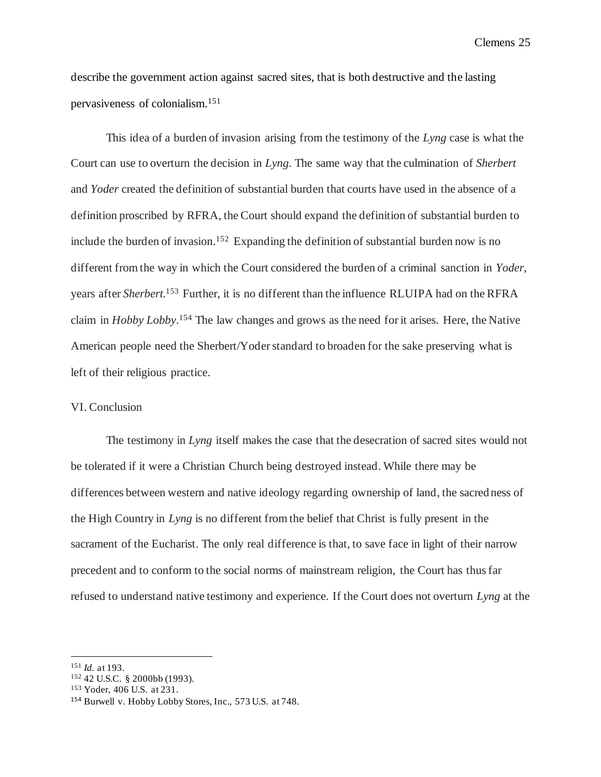describe the government action against sacred sites, that is both destructive and the lasting pervasiveness of colonialism.<sup>151</sup>

This idea of a burden of invasion arising from the testimony of the *Lyng* case is what the Court can use to overturn the decision in *Lyng*. The same way that the culmination of *Sherbert*  and *Yoder* created the definition of substantial burden that courts have used in the absence of a definition proscribed by RFRA, the Court should expand the definition of substantial burden to include the burden of invasion.<sup>152</sup> Expanding the definition of substantial burden now is no different from the way in which the Court considered the burden of a criminal sanction in *Yoder*, years after *Sherbert*. <sup>153</sup> Further, it is no different than the influence RLUIPA had on the RFRA claim in *Hobby Lobby*. <sup>154</sup> The law changes and grows as the need for it arises. Here, the Native American people need the Sherbert/Yoder standard to broaden for the sake preserving what is left of their religious practice.

## VI. Conclusion

The testimony in *Lyng* itself makes the case that the desecration of sacred sites would not be tolerated if it were a Christian Church being destroyed instead. While there may be differences between western and native ideology regarding ownership of land, the sacred ness of the High Country in *Lyng* is no different from the belief that Christ is fully present in the sacrament of the Eucharist. The only real difference is that, to save face in light of their narrow precedent and to conform to the social norms of mainstream religion, the Court has thus far refused to understand native testimony and experience. If the Court does not overturn *Lyng* at the

<sup>151</sup> *Id.* at 193.

<sup>152</sup> 42 U.S.C. § 2000bb (1993).

<sup>153</sup> Yoder, 406 U.S. at 231.

<sup>154</sup> Burwell v. Hobby Lobby Stores, Inc., 573 U.S. at 748.